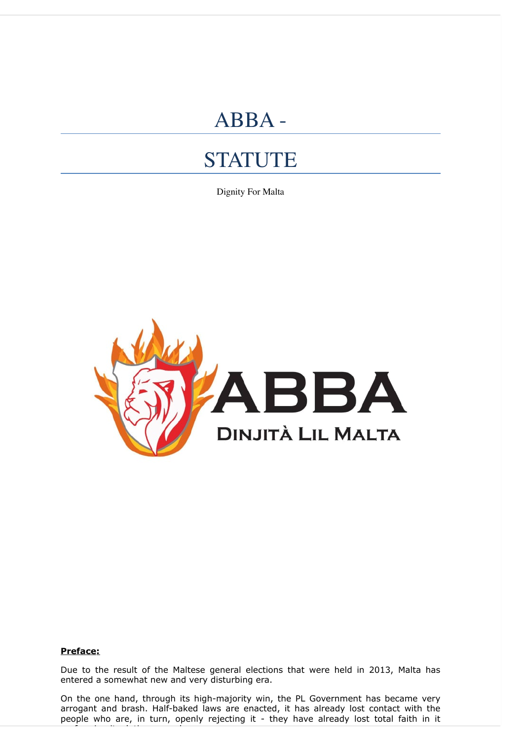# ABBA -

# **STATUTE**

Dignity For Malta



#### **Preface:**

performing its duties properly.

Due to the result of the Maltese general elections that were held in 2013, Malta has entered a somewhat new and very disturbing era.

On the one hand, through its high-majority win, the PL Government has became very arrogant and brash. Half-baked laws are enacted, it has already lost contact with the people who are, in turn, openly rejecting it - they have already lost total faith in it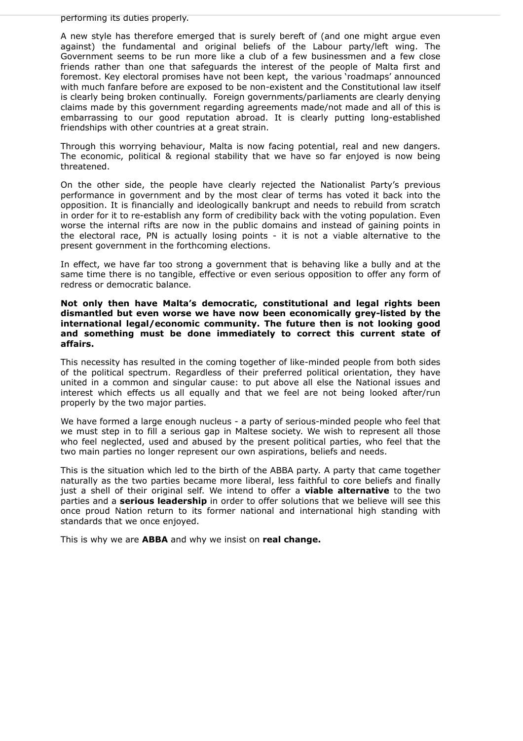performing its duties properly.

A new style has therefore emerged that is surely bereft of (and one might argue even against) the fundamental and original beliefs of the Labour party/left wing. The Government seems to be run more like a club of a few businessmen and a few close friends rather than one that safeguards the interest of the people of Malta first and foremost. Key electoral promises have not been kept, the various 'roadmaps' announced with much fanfare before are exposed to be non-existent and the Constitutional law itself is clearly being broken continually. Foreign governments/parliaments are clearly denying claims made by this government regarding agreements made/not made and all of this is embarrassing to our good reputation abroad. It is clearly putting long-established friendships with other countries at a great strain.

Through this worrying behaviour, Malta is now facing potential, real and new dangers. The economic, political & regional stability that we have so far enjoyed is now being threatened.

On the other side, the people have clearly rejected the Nationalist Party's previous performance in government and by the most clear of terms has voted it back into the opposition. It is financially and ideologically bankrupt and needs to rebuild from scratch in order for it to re-establish any form of credibility back with the voting population. Even worse the internal rifts are now in the public domains and instead of gaining points in the electoral race, PN is actually losing points - it is not a viable alternative to the present government in the forthcoming elections.

In effect, we have far too strong a government that is behaving like a bully and at the same time there is no tangible, effective or even serious opposition to offer any form of redress or democratic balance.

**Not only then have Malta's democratic, constitutional and legal rights been dismantled but even worse we have now been economically grey-listed by the international legal/economic community. The future then is not looking good and something must be done immediately to correct this current state of affairs.**

This necessity has resulted in the coming together of like-minded people from both sides of the political spectrum. Regardless of their preferred political orientation, they have united in a common and singular cause: to put above all else the National issues and interest which effects us all equally and that we feel are not being looked after/run properly by the two major parties.

We have formed a large enough nucleus - a party of serious-minded people who feel that we must step in to fill a serious gap in Maltese society. We wish to represent all those who feel neglected, used and abused by the present political parties, who feel that the two main parties no longer represent our own aspirations, beliefs and needs.

This is the situation which led to the birth of the ABBA party. A party that came together naturally as the two parties became more liberal, less faithful to core beliefs and finally just a shell of their original self. We intend to offer a **viable alternative** to the two parties and a **serious leadership** in order to offer solutions that we believe will see this once proud Nation return to its former national and international high standing with standards that we once enjoyed.

This is why we are **ABBA** and why we insist on **real change.**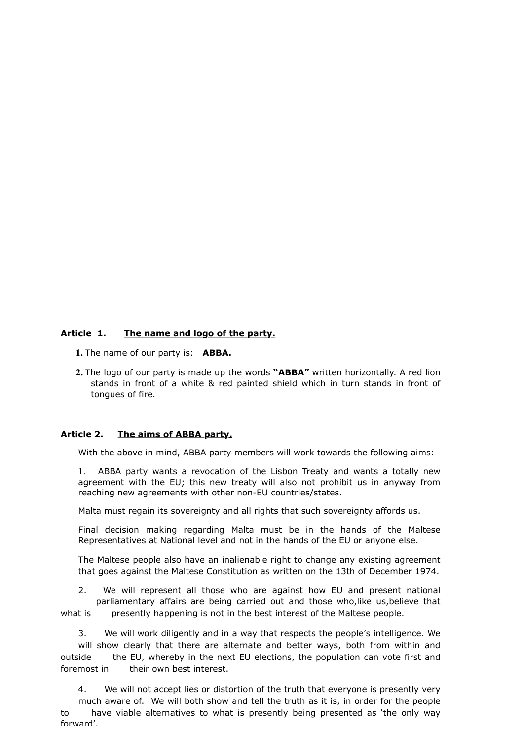## **Article 1. The name and logo of the party.**

- **1.** The name of our party is: **ABBA.**
- **2.** The logo of our party is made up the words **"ABBA"** written horizontally. A red lion stands in front of a white & red painted shield which in turn stands in front of tongues of fire.

#### **Article 2. The aims of ABBA party.**

With the above in mind, ABBA party members will work towards the following aims:

1. ABBA party wants a revocation of the Lisbon Treaty and wants a totally new agreement with the EU; this new treaty will also not prohibit us in anyway from reaching new agreements with other non-EU countries/states.

Malta must regain its sovereignty and all rights that such sovereignty affords us.

Final decision making regarding Malta must be in the hands of the Maltese Representatives at National level and not in the hands of the EU or anyone else.

The Maltese people also have an inalienable right to change any existing agreement that goes against the Maltese Constitution as written on the 13th of December 1974.

2. We will represent all those who are against how EU and present national parliamentary affairs are being carried out and those who,like us,believe that what is presently happening is not in the best interest of the Maltese people.

3. We will work diligently and in a way that respects the people's intelligence. We will show clearly that there are alternate and better ways, both from within and outside the EU, whereby in the next EU elections, the population can vote first and foremost in their own best interest.

4. We will not accept lies or distortion of the truth that everyone is presently very much aware of. We will both show and tell the truth as it is, in order for the people to have viable alternatives to what is presently being presented as 'the only way forward'.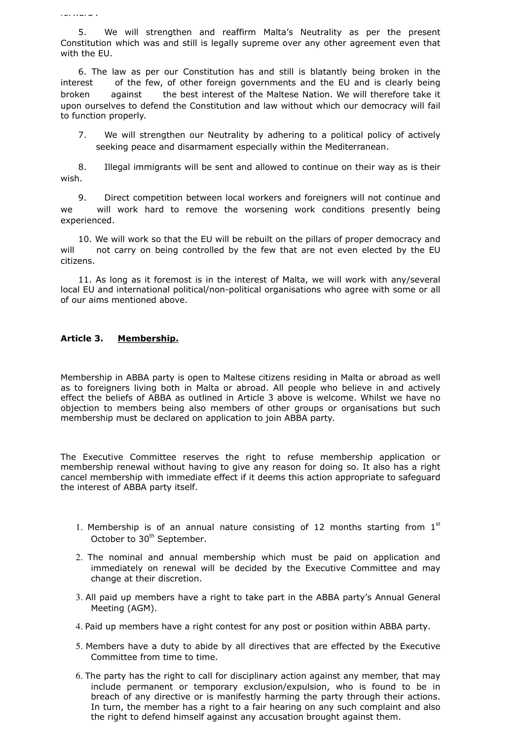forward'.

5. We will strengthen and reaffirm Malta's Neutrality as per the present Constitution which was and still is legally supreme over any other agreement even that with the EU.

6. The law as per our Constitution has and still is blatantly being broken in the interest of the few, of other foreign governments and the EU and is clearly being broken against the best interest of the Maltese Nation. We will therefore take it upon ourselves to defend the Constitution and law without which our democracy will fail to function properly.

7. We will strengthen our Neutrality by adhering to a political policy of actively seeking peace and disarmament especially within the Mediterranean.

8. Illegal immigrants will be sent and allowed to continue on their way as is their wish.

9. Direct competition between local workers and foreigners will not continue and we will work hard to remove the worsening work conditions presently being experienced.

10. We will work so that the EU will be rebuilt on the pillars of proper democracy and will not carry on being controlled by the few that are not even elected by the EU citizens.

11. As long as it foremost is in the interest of Malta, we will work with any/several local EU and international political/non-political organisations who agree with some or all of our aims mentioned above.

## **Article 3. Membership.**

Membership in ABBA party is open to Maltese citizens residing in Malta or abroad as well as to foreigners living both in Malta or abroad. All people who believe in and actively effect the beliefs of ABBA as outlined in Article 3 above is welcome. Whilst we have no objection to members being also members of other groups or organisations but such membership must be declared on application to join ABBA party.

The Executive Committee reserves the right to refuse membership application or membership renewal without having to give any reason for doing so. It also has a right cancel membership with immediate effect if it deems this action appropriate to safeguard the interest of ABBA party itself.

- 1. Membership is of an annual nature consisting of 12 months starting from  $1<sup>st</sup>$ October to 30<sup>th</sup> September.
- 2. The nominal and annual membership which must be paid on application and immediately on renewal will be decided by the Executive Committee and may change at their discretion.
- 3. All paid up members have a right to take part in the ABBA party's Annual General Meeting (AGM).
- 4. Paid up members have a right contest for any post or position within ABBA party.
- 5. Members have a duty to abide by all directives that are effected by the Executive Committee from time to time.
- 6. The party has the right to call for disciplinary action against any member, that may include permanent or temporary exclusion/expulsion, who is found to be in breach of any directive or is manifestly harming the party through their actions. In turn, the member has a right to a fair hearing on any such complaint and also the right to defend himself against any accusation brought against them.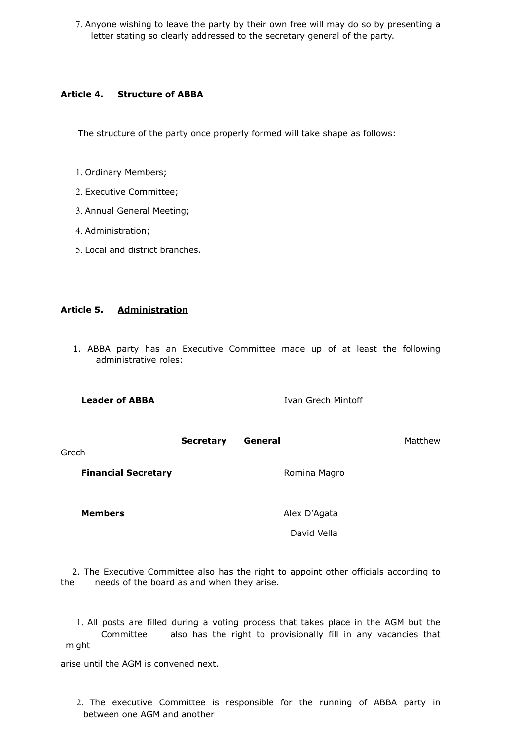7. Anyone wishing to leave the party by their own free will may do so by presenting a letter stating so clearly addressed to the secretary general of the party.

#### **Article 4. Structure of ABBA**

The structure of the party once properly formed will take shape as follows:

- 1. Ordinary Members;
- 2. Executive Committee;
- 3. Annual General Meeting;
- 4. Administration;
- 5. Local and district branches.

#### **Article 5. Administration**

 1. ABBA party has an Executive Committee made up of at least the following administrative roles:

**Leader of ABBA Ivan Grech Mintoff Secretary General** Matthew Grech **Financial Secretary Romina Magro** Romina Magro

**Members** Alex D'Agata

David Vella

 2. The Executive Committee also has the right to appoint other officials according to the needs of the board as and when they arise.

1. All posts are filled during a voting process that takes place in the AGM but the Committee also has the right to provisionally fill in any vacancies that might

arise until the AGM is convened next.

2. The executive Committee is responsible for the running of ABBA party in between one AGM and another